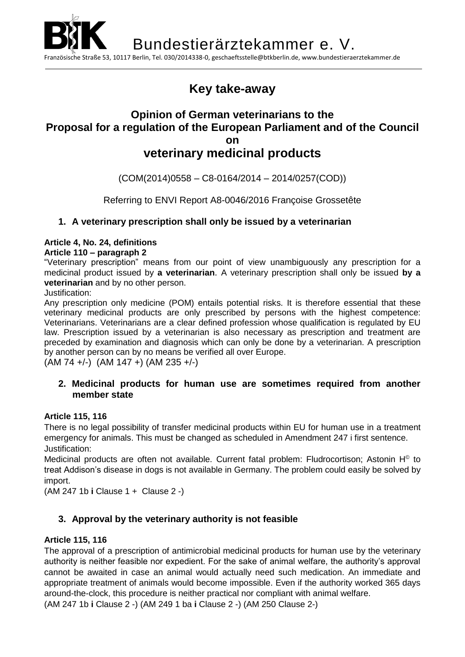

# **[Key](http://www.dict.cc/englisch-deutsch/key.html) [take-away](http://www.dict.cc/englisch-deutsch/take-away.html)**

# **Opinion of German veterinarians to the Proposal for a regulation of the European Parliament and of the Council on veterinary medicinal products**

(COM(2014)0558 – C8-0164/2014 – 2014/0257(COD))

Referring to ENVI Report A8-0046/2016 Françoise Grossetête

### **1. A veterinary prescription shall only be issued by a veterinarian**

### **Article 4, No. 24, definitions**

### **Article 110 – paragraph 2**

"Veterinary prescription" means from our point of view unambiguously any prescription for a medicinal product issued by **a veterinarian**. A veterinary prescription shall only be issued **by a veterinarian** and by no other person.

Justification:

Any prescription only medicine (POM) entails potential risks. It is therefore essential that these veterinary medicinal products are only prescribed by persons with the highest competence: Veterinarians. Veterinarians are a clear defined profession whose qualification is regulated by EU law. Prescription issued by a veterinarian is also necessary as prescription and treatment are preceded by examination and diagnosis which can only be done by a veterinarian. A prescription by another person can by no means be verified all over Europe.

(AM 74 +/-) (AM 147 +) (AM 235 +/-)

### **2. Medicinal products for human use are sometimes required from another member state**

### **Article 115, 116**

There is no legal possibility of transfer medicinal products within EU for human use in a treatment emergency for animals. This must be changed as scheduled in Amendment 247 i first sentence. Justification:

Medicinal products are often not available. Current fatal problem: Fludrocortison; Astonin H<sup>®</sup> to treat Addison's disease in dogs is not available in Germany. The problem could easily be solved by import.

(AM 247 1b **i** Clause 1 + Clause 2 -)

## **3. Approval by the veterinary authority is not feasible**

### **Article 115, 116**

The approval of a prescription of antimicrobial medicinal products for human use by the veterinary authority is neither feasible nor expedient. For the sake of animal welfare, the authority's approval cannot be awaited in case an animal would actually need such medication. An immediate and appropriate treatment of animals would become impossible. Even if the authority worked 365 days around-the-clock, this procedure is neither practical nor compliant with animal welfare. (AM 247 1b **i** Clause 2 -) (AM 249 1 ba **i** Clause 2 -) (AM 250 Clause 2-)